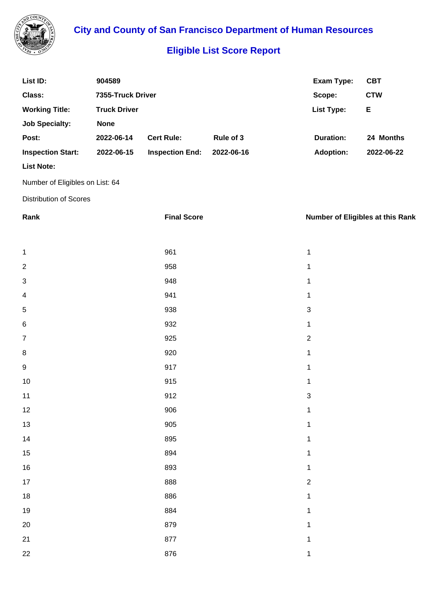

**City and County of San Francisco Department of Human Resources**

## **Eligible List Score Report**

| List ID:                 | 904589              |                        |            | Exam Type:        | <b>CBT</b> |
|--------------------------|---------------------|------------------------|------------|-------------------|------------|
| Class:                   | 7355-Truck Driver   |                        |            | Scope:            | <b>CTW</b> |
| <b>Working Title:</b>    | <b>Truck Driver</b> |                        |            | <b>List Type:</b> | Е          |
| <b>Job Specialty:</b>    | <b>None</b>         |                        |            |                   |            |
| Post:                    | 2022-06-14          | <b>Cert Rule:</b>      | Rule of 3  | Duration:         | 24 Months  |
| <b>Inspection Start:</b> | 2022-06-15          | <b>Inspection End:</b> | 2022-06-16 | <b>Adoption:</b>  | 2022-06-22 |
| <b>List Note:</b>        |                     |                        |            |                   |            |
|                          |                     |                        |            |                   |            |

Number of Eligibles on List: 64

Distribution of Scores

| Rank                    | <b>Final Score</b> | <b>Number of Eligibles at this Rank</b> |
|-------------------------|--------------------|-----------------------------------------|
|                         |                    |                                         |
| 1                       | 961                | $\mathbf{1}$                            |
| $\overline{\mathbf{c}}$ | 958                | $\mathbf 1$                             |
| 3                       | 948                | $\mathbf 1$                             |
| 4                       | 941                | $\mathbf 1$                             |
| 5                       | 938                | $\ensuremath{\mathsf{3}}$               |
| 6                       | 932                | $\mathbf 1$                             |
| 7                       | 925                | $\overline{2}$                          |
| 8                       | 920                | $\mathbf{1}$                            |
| 9                       | 917                | $\mathbf 1$                             |
| 10                      | 915                | $\mathbf{1}$                            |
| 11                      | 912                | $\ensuremath{\mathsf{3}}$               |
| 12                      | 906                | $\mathbf 1$                             |
| 13                      | 905                | $\mathbf 1$                             |
| 14                      | 895                | $\mathbf 1$                             |
| 15                      | 894                | $\mathbf 1$                             |
| 16                      | 893                | $\mathbf{1}$                            |
| 17                      | 888                | $\overline{c}$                          |
| 18                      | 886                | $\mathbf{1}$                            |
| 19                      | 884                | $\mathbf{1}$                            |
| 20                      | 879                | $\mathbf 1$                             |
| 21                      | 877                | $\mathbf 1$                             |
| 22                      | 876                | $\mathbf{1}$                            |